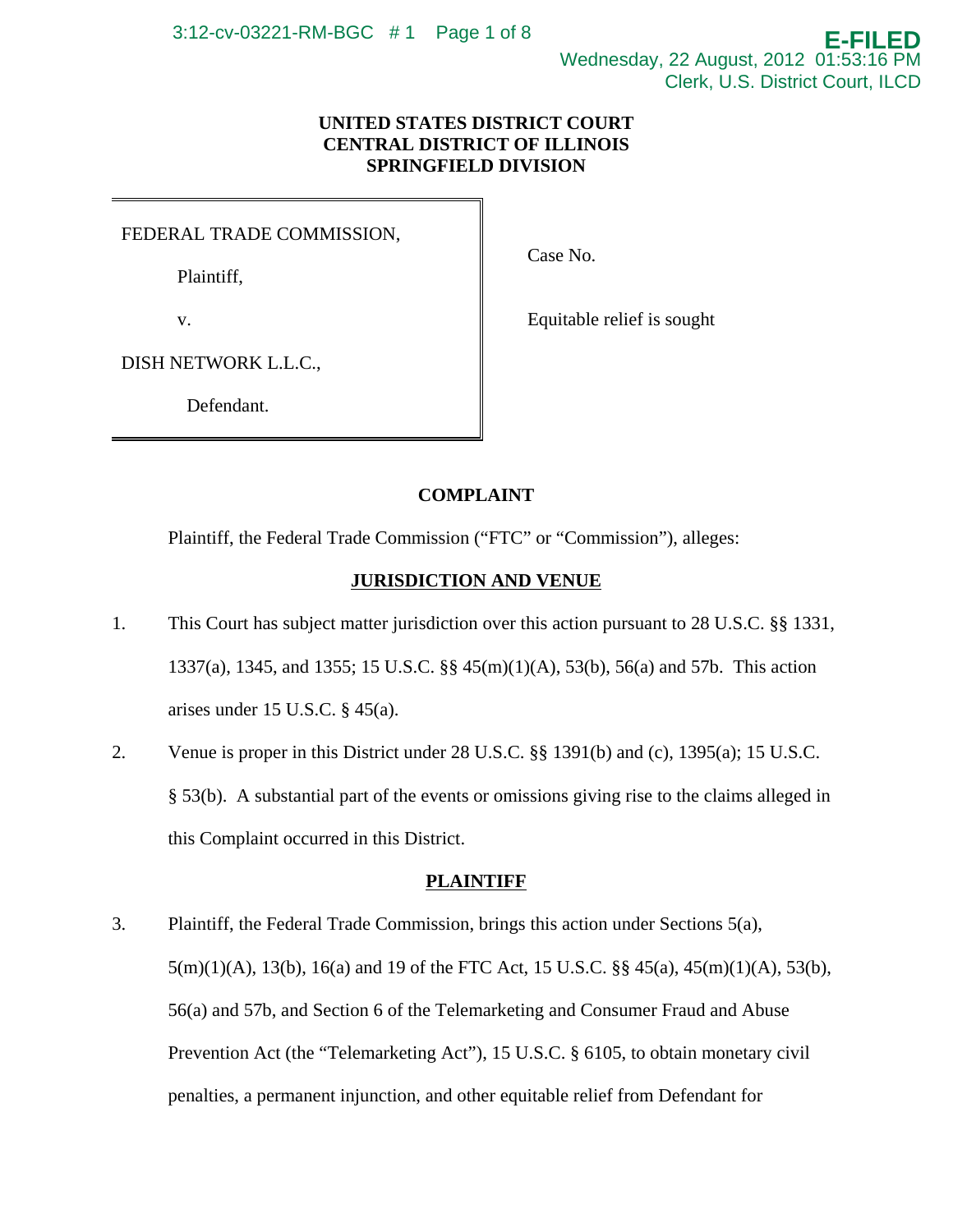## **UNITED STATES DISTRICT COURT CENTRAL DISTRICT OF ILLINOIS SPRINGFIELD DIVISION**

FEDERAL TRADE COMMISSION,

Plaintiff,

v.

Case No.

DISH NETWORK L.L.C.,

Defendant.

Equitable relief is sought

# **COMPLAINT**

Plaintiff, the Federal Trade Commission ("FTC" or "Commission"), alleges:

# **JURISDICTION AND VENUE**

- 1. This Court has subject matter jurisdiction over this action pursuant to 28 U.S.C. §§ 1331, 1337(a), 1345, and 1355; 15 U.S.C. §§ 45(m)(1)(A), 53(b), 56(a) and 57b. This action arises under 15 U.S.C.  $\S$  45(a).
- 2. Venue is proper in this District under 28 U.S.C. §§ 1391(b) and (c), 1395(a); 15 U.S.C. § 53(b). A substantial part of the events or omissions giving rise to the claims alleged in this Complaint occurred in this District.

# **PLAINTIFF**

3. Plaintiff, the Federal Trade Commission, brings this action under Sections 5(a), 5(m)(1)(A), 13(b), 16(a) and 19 of the FTC Act, 15 U.S.C. §§ 45(a), 45(m)(1)(A), 53(b), 56(a) and 57b, and Section 6 of the Telemarketing and Consumer Fraud and Abuse Prevention Act (the "Telemarketing Act"), 15 U.S.C. § 6105, to obtain monetary civil penalties, a permanent injunction, and other equitable relief from Defendant for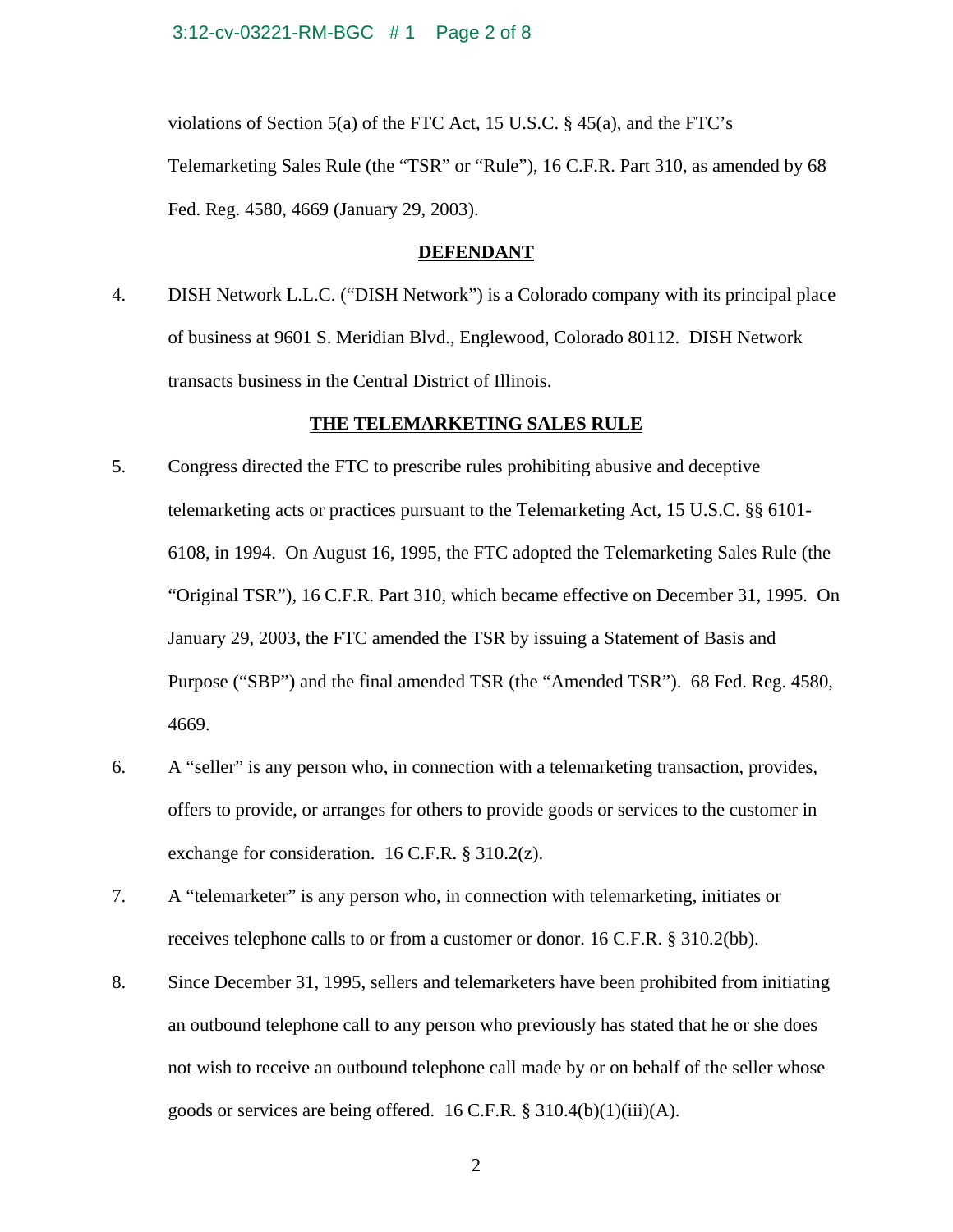violations of Section 5(a) of the FTC Act, 15 U.S.C. § 45(a), and the FTC's Telemarketing Sales Rule (the "TSR" or "Rule"), 16 C.F.R. Part 310, as amended by 68 Fed. Reg. 4580, 4669 (January 29, 2003).

#### **DEFENDANT**

4. DISH Network L.L.C. ("DISH Network") is a Colorado company with its principal place of business at 9601 S. Meridian Blvd., Englewood, Colorado 80112. DISH Network transacts business in the Central District of Illinois.

### **THE TELEMARKETING SALES RULE**

- 5. Congress directed the FTC to prescribe rules prohibiting abusive and deceptive telemarketing acts or practices pursuant to the Telemarketing Act, 15 U.S.C. §§ 6101- 6108, in 1994. On August 16, 1995, the FTC adopted the Telemarketing Sales Rule (the "Original TSR"), 16 C.F.R. Part 310, which became effective on December 31, 1995. On January 29, 2003, the FTC amended the TSR by issuing a Statement of Basis and Purpose ("SBP") and the final amended TSR (the "Amended TSR"). 68 Fed. Reg. 4580, 4669.
- 6. A "seller" is any person who, in connection with a telemarketing transaction, provides, offers to provide, or arranges for others to provide goods or services to the customer in exchange for consideration. 16 C.F.R.  $\S 310.2(z)$ .
- 7. A "telemarketer" is any person who, in connection with telemarketing, initiates or receives telephone calls to or from a customer or donor. 16 C.F.R. § 310.2(bb).
- 8. Since December 31, 1995, sellers and telemarketers have been prohibited from initiating an outbound telephone call to any person who previously has stated that he or she does not wish to receive an outbound telephone call made by or on behalf of the seller whose goods or services are being offered.  $16$  C.F.R. § 310.4(b)(1)(iii)(A).

2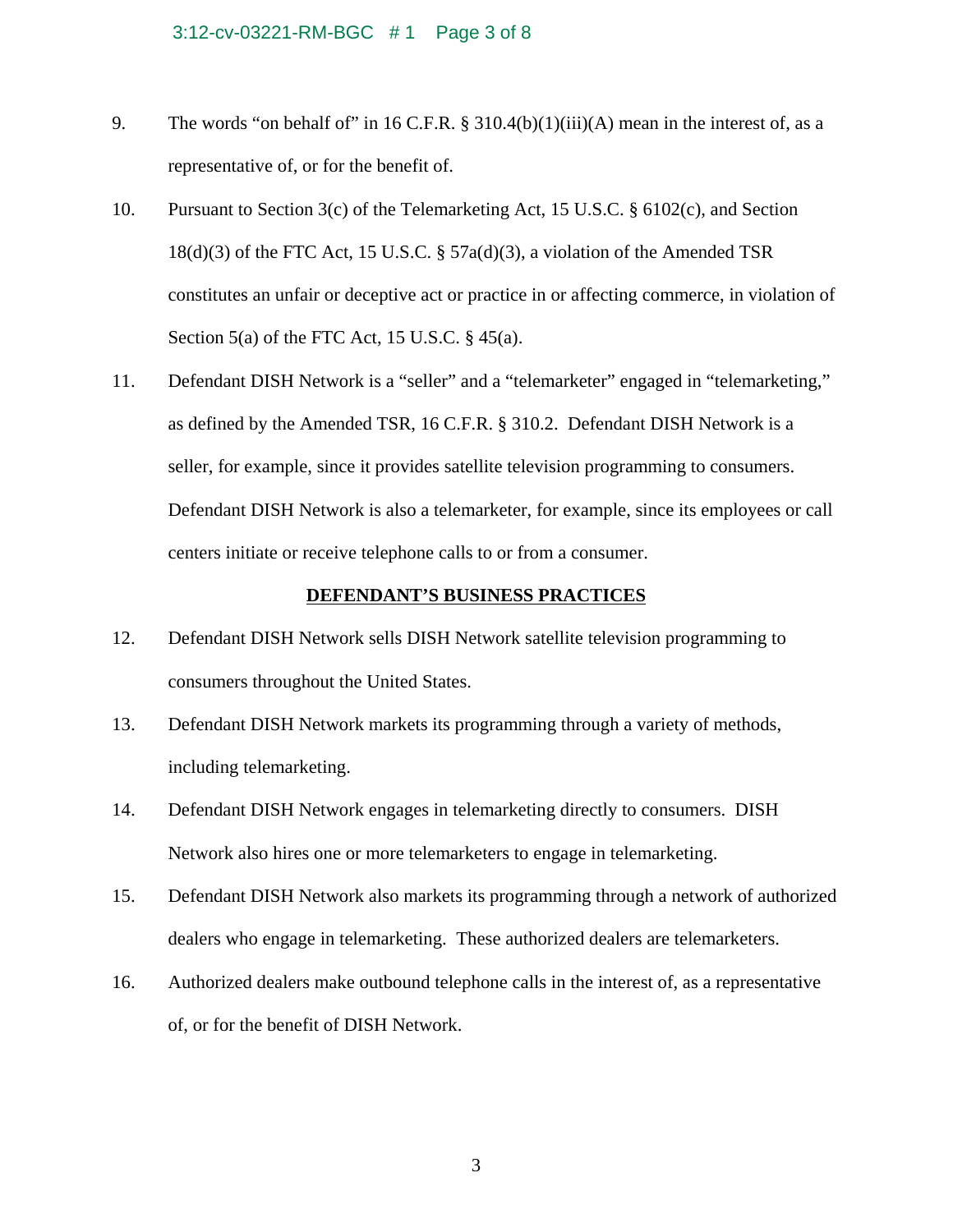- 9. The words "on behalf of" in 16 C.F.R.  $\S 310.4(b)(1)(iii)(A)$  mean in the interest of, as a representative of, or for the benefit of.
- 10. Pursuant to Section 3(c) of the Telemarketing Act, 15 U.S.C. § 6102(c), and Section 18(d)(3) of the FTC Act, 15 U.S.C. § 57a(d)(3), a violation of the Amended TSR constitutes an unfair or deceptive act or practice in or affecting commerce, in violation of Section 5(a) of the FTC Act, 15 U.S.C.  $\S$  45(a).
- 11. Defendant DISH Network is a "seller" and a "telemarketer" engaged in "telemarketing," as defined by the Amended TSR, 16 C.F.R. § 310.2. Defendant DISH Network is a seller, for example, since it provides satellite television programming to consumers. Defendant DISH Network is also a telemarketer, for example, since its employees or call centers initiate or receive telephone calls to or from a consumer.

#### **DEFENDANT'S BUSINESS PRACTICES**

- 12. Defendant DISH Network sells DISH Network satellite television programming to consumers throughout the United States.
- 13. Defendant DISH Network markets its programming through a variety of methods, including telemarketing.
- 14. Defendant DISH Network engages in telemarketing directly to consumers. DISH Network also hires one or more telemarketers to engage in telemarketing.
- 15. Defendant DISH Network also markets its programming through a network of authorized dealers who engage in telemarketing. These authorized dealers are telemarketers.
- 16. Authorized dealers make outbound telephone calls in the interest of, as a representative of, or for the benefit of DISH Network.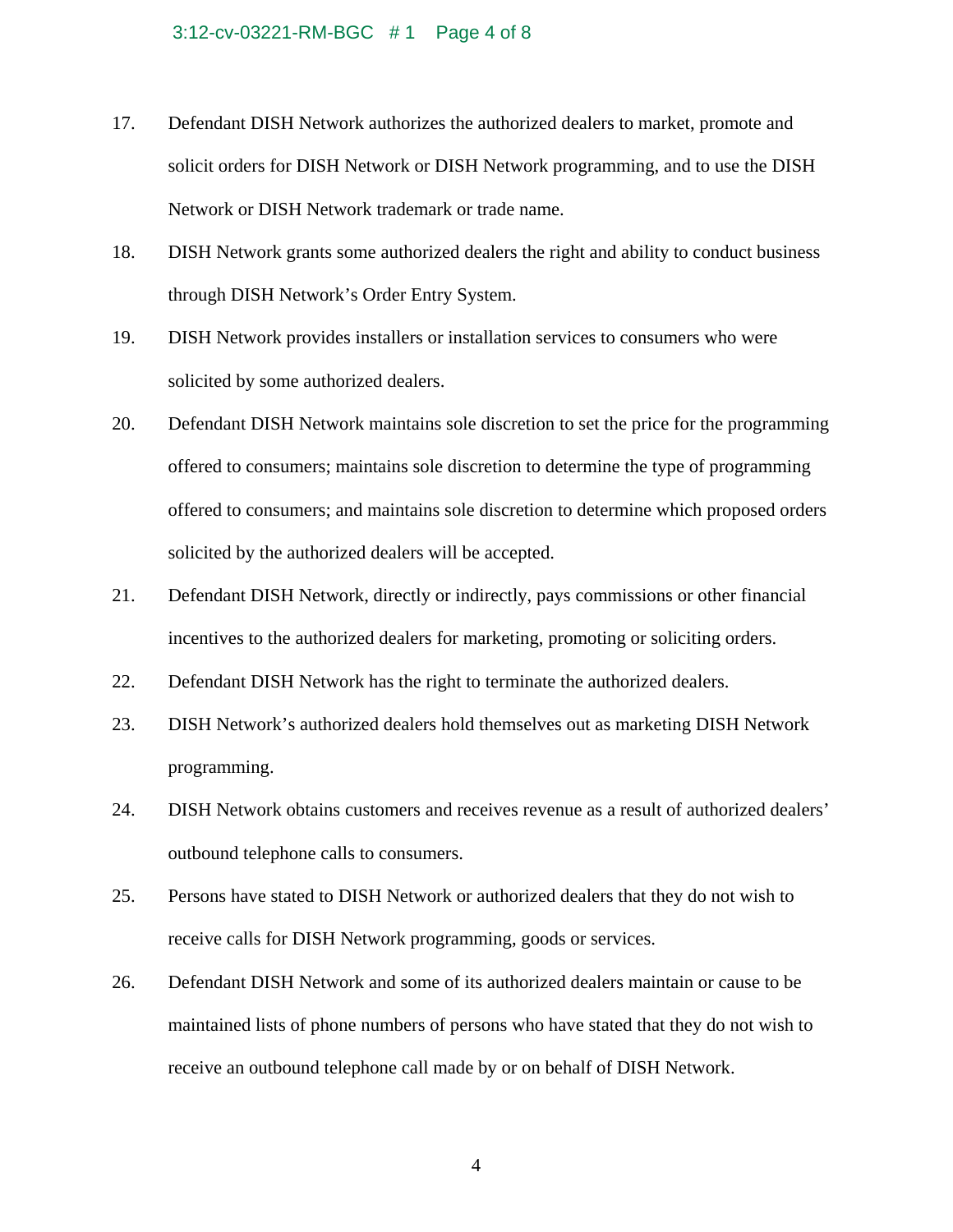- 17. Defendant DISH Network authorizes the authorized dealers to market, promote and solicit orders for DISH Network or DISH Network programming, and to use the DISH Network or DISH Network trademark or trade name.
- 18. DISH Network grants some authorized dealers the right and ability to conduct business through DISH Network's Order Entry System.
- 19. DISH Network provides installers or installation services to consumers who were solicited by some authorized dealers.
- 20. Defendant DISH Network maintains sole discretion to set the price for the programming offered to consumers; maintains sole discretion to determine the type of programming offered to consumers; and maintains sole discretion to determine which proposed orders solicited by the authorized dealers will be accepted.
- 21. Defendant DISH Network, directly or indirectly, pays commissions or other financial incentives to the authorized dealers for marketing, promoting or soliciting orders.
- 22. Defendant DISH Network has the right to terminate the authorized dealers.
- 23. DISH Network's authorized dealers hold themselves out as marketing DISH Network programming.
- 24. DISH Network obtains customers and receives revenue as a result of authorized dealers' outbound telephone calls to consumers.
- 25. Persons have stated to DISH Network or authorized dealers that they do not wish to receive calls for DISH Network programming, goods or services.
- 26. Defendant DISH Network and some of its authorized dealers maintain or cause to be maintained lists of phone numbers of persons who have stated that they do not wish to receive an outbound telephone call made by or on behalf of DISH Network.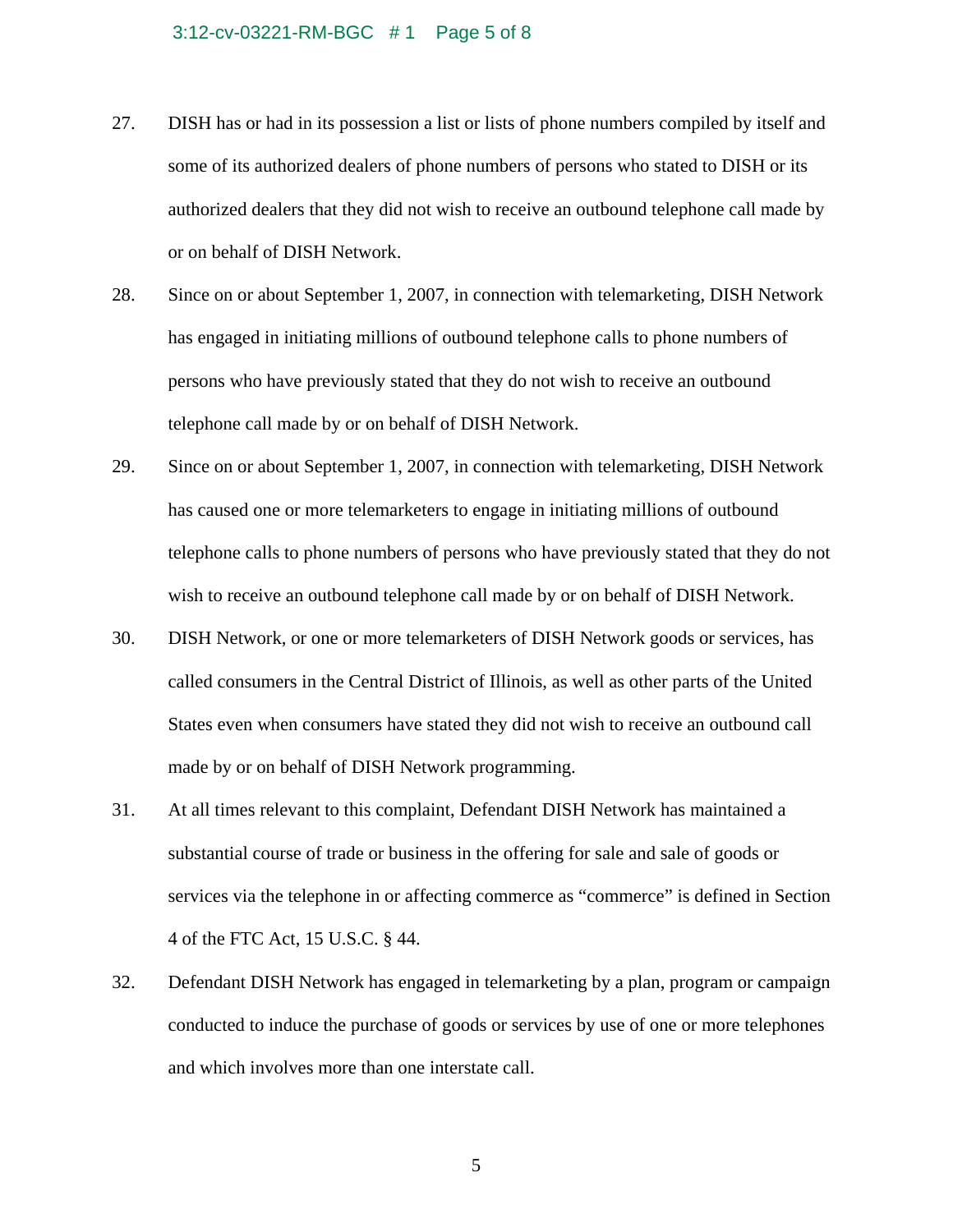#### 3:12-cv-03221-RM-BGC # 1 Page 5 of 8

- 27. DISH has or had in its possession a list or lists of phone numbers compiled by itself and some of its authorized dealers of phone numbers of persons who stated to DISH or its authorized dealers that they did not wish to receive an outbound telephone call made by or on behalf of DISH Network.
- 28. Since on or about September 1, 2007, in connection with telemarketing, DISH Network has engaged in initiating millions of outbound telephone calls to phone numbers of persons who have previously stated that they do not wish to receive an outbound telephone call made by or on behalf of DISH Network.
- 29. Since on or about September 1, 2007, in connection with telemarketing, DISH Network has caused one or more telemarketers to engage in initiating millions of outbound telephone calls to phone numbers of persons who have previously stated that they do not wish to receive an outbound telephone call made by or on behalf of DISH Network.
- 30. DISH Network, or one or more telemarketers of DISH Network goods or services, has called consumers in the Central District of Illinois, as well as other parts of the United States even when consumers have stated they did not wish to receive an outbound call made by or on behalf of DISH Network programming.
- 31. At all times relevant to this complaint, Defendant DISH Network has maintained a substantial course of trade or business in the offering for sale and sale of goods or services via the telephone in or affecting commerce as "commerce" is defined in Section 4 of the FTC Act, 15 U.S.C. § 44.
- 32. Defendant DISH Network has engaged in telemarketing by a plan, program or campaign conducted to induce the purchase of goods or services by use of one or more telephones and which involves more than one interstate call.

5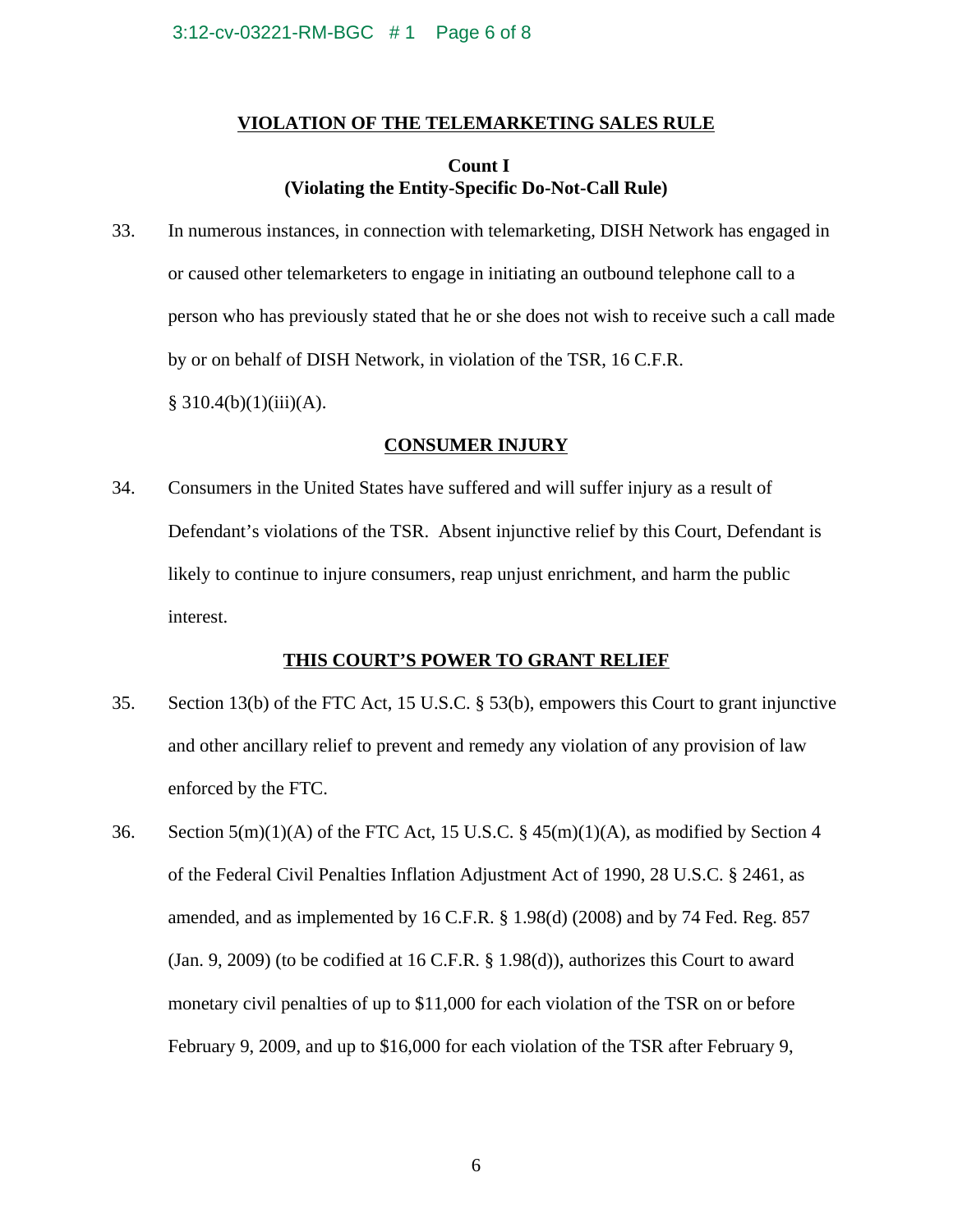### **VIOLATION OF THE TELEMARKETING SALES RULE**

## **Count I (Violating the Entity-Specific Do-Not-Call Rule)**

33. In numerous instances, in connection with telemarketing, DISH Network has engaged in or caused other telemarketers to engage in initiating an outbound telephone call to a person who has previously stated that he or she does not wish to receive such a call made by or on behalf of DISH Network, in violation of the TSR, 16 C.F.R.  $§ 310.4(b)(1)(iii)(A).$ 

### **CONSUMER INJURY**

34. Consumers in the United States have suffered and will suffer injury as a result of Defendant's violations of the TSR. Absent injunctive relief by this Court, Defendant is likely to continue to injure consumers, reap unjust enrichment, and harm the public interest.

## **THIS COURT'S POWER TO GRANT RELIEF**

- 35. Section 13(b) of the FTC Act, 15 U.S.C. § 53(b), empowers this Court to grant injunctive and other ancillary relief to prevent and remedy any violation of any provision of law enforced by the FTC.
- 36. Section 5(m)(1)(A) of the FTC Act, 15 U.S.C.  $\S$  45(m)(1)(A), as modified by Section 4 of the Federal Civil Penalties Inflation Adjustment Act of 1990, 28 U.S.C. § 2461, as amended, and as implemented by 16 C.F.R. § 1.98(d) (2008) and by 74 Fed. Reg. 857 (Jan. 9, 2009) (to be codified at 16 C.F.R. § 1.98(d)), authorizes this Court to award monetary civil penalties of up to \$11,000 for each violation of the TSR on or before February 9, 2009, and up to \$16,000 for each violation of the TSR after February 9,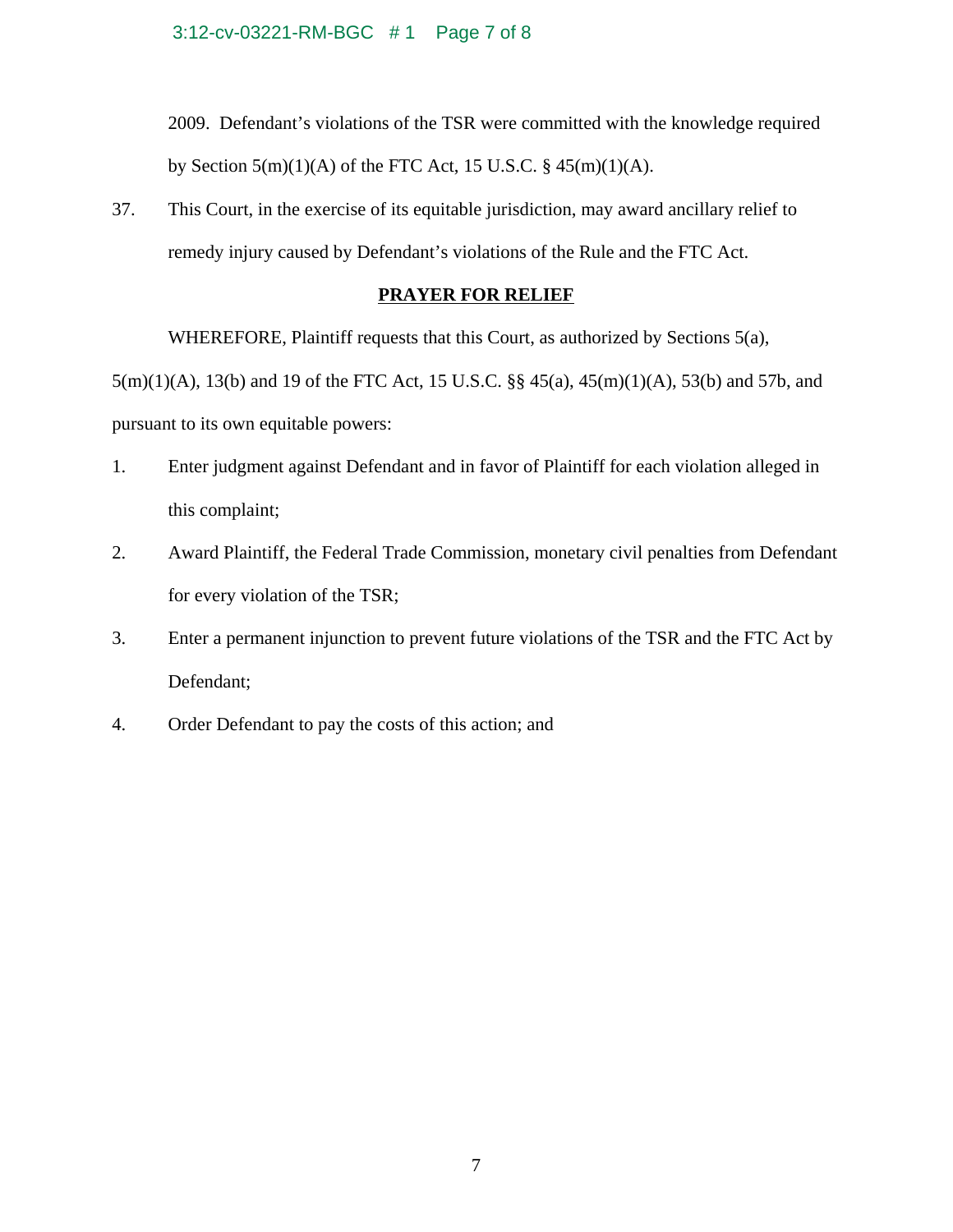2009. Defendant's violations of the TSR were committed with the knowledge required by Section  $5(m)(1)(A)$  of the FTC Act, 15 U.S.C. §  $45(m)(1)(A)$ .

37. This Court, in the exercise of its equitable jurisdiction, may award ancillary relief to remedy injury caused by Defendant's violations of the Rule and the FTC Act.

## **PRAYER FOR RELIEF**

WHEREFORE, Plaintiff requests that this Court, as authorized by Sections 5(a),

5(m)(1)(A), 13(b) and 19 of the FTC Act, 15 U.S.C. §§ 45(a), 45(m)(1)(A), 53(b) and 57b, and pursuant to its own equitable powers:

- 1. Enter judgment against Defendant and in favor of Plaintiff for each violation alleged in this complaint;
- 2. Award Plaintiff, the Federal Trade Commission, monetary civil penalties from Defendant for every violation of the TSR;
- 3. Enter a permanent injunction to prevent future violations of the TSR and the FTC Act by Defendant;
- 4. Order Defendant to pay the costs of this action; and